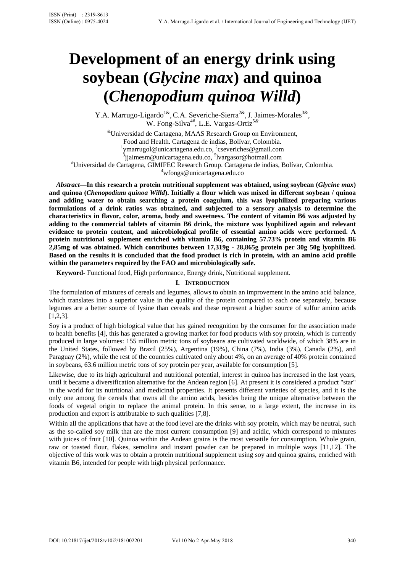# **Development of an energy drink using soybean (***Glycine max***) and quinoa (***Chenopodium quinoa Willd***)**

Y.A. Marrugo-Ligardo<sup>1&</sup>, C.A. Severiche-Sierra<sup>2&</sup>, J. Jaimes-Morales<sup>3&</sup>, W. Fong-Silva4#, L.E. Vargas-Ortiz5*&*

&Universidad de Cartagena, MAAS Research Group on Environment, Food and Health. Cartagena de indias, Bolívar, Colombia. 1 <sup>1</sup>ymarrugol@unicartagena.edu.co, <sup>2</sup>cseveriches@gmail.com<br>
<sup>3</sup>jjaimesm@unicartagena.edu.co, <sup>5</sup>lvargasor@hotmail.com<br>
<sup>#</sup>Universided de Certagena. GIMIEEC Besearch Group Certagena de indise. Universidad de Cartagena, GIMIFEC Research Group. Cartagena de indias, Bolívar, Colombia. 4

wfongs@unicartagena.edu.co *Abstract***—In this research a protein nutritional supplement was obtained, using soybean (***Glycine max***)** 

**and quinoa (***Chenopodium quinoa Willd***). Initially a flour which was mixed in different soybean / quinoa and adding water to obtain searching a protein coagulum, this was lyophilized preparing various formulations of a drink ratios was obtained, and subjected to a sensory analysis to determine the characteristics in flavor, color, aroma, body and sweetness. The content of vitamin B6 was adjusted by adding to the commercial tablets of vitamin B6 drink, the mixture was lyophilized again and relevant evidence to protein content, and microbiological profile of essential amino acids were performed. A protein nutritional supplement enriched with vitamin B6, containing 57.73% protein and vitamin B6 2,85mg of was obtained. Which contributes between 17,319g - 28,865g protein per 30g 50g lyophilized. Based on the results it is concluded that the food product is rich in protein, with an amino acid profile within the parameters required by the FAO and microbiologically safe.** 

**Keyword-** Functional food, High performance, Energy drink, Nutritional supplement.

# **I. INTRODUCTION**

The formulation of mixtures of cereals and legumes, allows to obtain an improvement in the amino acid balance, which translates into a superior value in the quality of the protein compared to each one separately, because legumes are a better source of lysine than cereals and these represent a higher source of sulfur amino acids [1,2,3].

Soy is a product of high biological value that has gained recognition by the consumer for the association made to health benefits [4], this has generated a growing market for food products with soy protein, which is currently produced in large volumes: 155 million metric tons of soybeans are cultivated worldwide, of which 38% are in the United States, followed by Brazil (25%), Argentina (19%), China (7%), India (3%), Canada (2%), and Paraguay (2%), while the rest of the countries cultivated only about 4%, on an average of 40% protein contained in soybeans, 63.6 million metric tons of soy protein per year, available for consumption [5].

Likewise, due to its high agricultural and nutritional potential, interest in quinoa has increased in the last years, until it became a diversification alternative for the Andean region [6]. At present it is considered a product "star" in the world for its nutritional and medicinal properties. It presents different varieties of species, and it is the only one among the cereals that owns all the amino acids, besides being the unique alternative between the foods of vegetal origin to replace the animal protein. In this sense, to a large extent, the increase in its production and export is attributable to such qualities [7,8].

Within all the applications that have at the food level are the drinks with soy protein, which may be neutral, such as the so-called soy milk that are the most current consumption [9] and acidic, which correspond to mixtures with juices of fruit [10]. Quinoa within the Andean grains is the most versatile for consumption. Whole grain, raw or toasted flour, flakes, semolina and instant powder can be prepared in multiple ways [11,12]. The objective of this work was to obtain a protein nutritional supplement using soy and quinoa grains, enriched with vitamin B6, intended for people with high physical performance.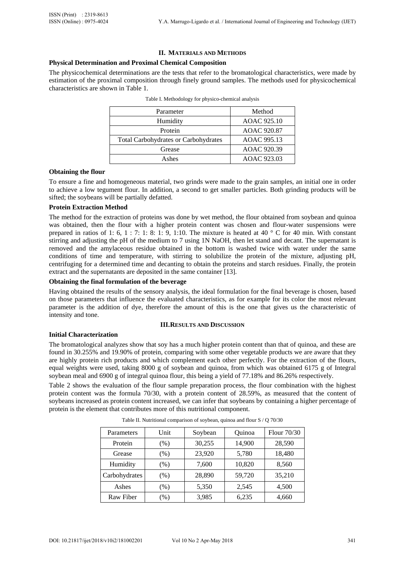#### **II. MATERIALS AND METHODS**

# **Physical Determination and Proximal Chemical Composition**

The physicochemical determinations are the tests that refer to the bromatological characteristics, were made by estimation of the proximal composition through finely ground samples. The methods used for physicochemical characteristics are shown in Table 1.

| Parameter                                   | Method      |  |  |
|---------------------------------------------|-------------|--|--|
| Humidity                                    | AOAC 925.10 |  |  |
| Protein                                     | AOAC 920.87 |  |  |
| <b>Total Carbohydrates or Carbohydrates</b> | AOAC 995.13 |  |  |
| Grease                                      | AOAC 920.39 |  |  |
| Ashes                                       | AOAC 923.03 |  |  |

#### **Obtaining the flour**

To ensure a fine and homogeneous material, two grinds were made to the grain samples, an initial one in order to achieve a low tegument flour. In addition, a second to get smaller particles. Both grinding products will be sifted; the soybeans will be partially defatted.

# **Protein Extraction Method**

The method for the extraction of proteins was done by wet method, the flour obtained from soybean and quinoa was obtained, then the flour with a higher protein content was chosen and flour-water suspensions were prepared in ratios of 1: 6, 1 : 7: 1: 8: 1: 9, 1:10. The mixture is heated at 40  $\degree$  C for 40 min. With constant stirring and adjusting the pH of the medium to 7 using 1N NaOH, then let stand and decant. The supernatant is removed and the amylaceous residue obtained in the bottom is washed twice with water under the same conditions of time and temperature, with stirring to solubilize the protein of the mixture, adjusting pH, centrifuging for a determined time and decanting to obtain the proteins and starch residues. Finally, the protein extract and the supernatants are deposited in the same container [13].

### **Obtaining the final formulation of the beverage**

Having obtained the results of the sensory analysis, the ideal formulation for the final beverage is chosen, based on those parameters that influence the evaluated characteristics, as for example for its color the most relevant parameter is the addition of dye, therefore the amount of this is the one that gives us the characteristic of intensity and tone.

#### **III.RESULTS AND DISCUSSION**

#### **Initial Characterization**

The bromatological analyzes show that soy has a much higher protein content than that of quinoa, and these are found in 30.255% and 19.90% of protein, comparing with some other vegetable products we are aware that they are highly protein rich products and which complement each other perfectly. For the extraction of the flours, equal weights were used, taking 8000 g of soybean and quinoa, from which was obtained 6175 g of Integral soybean meal and 6900 g of integral quinoa flour, this being a yield of 77.18% and 86.26% respectively.

Table 2 shows the evaluation of the flour sample preparation process, the flour combination with the highest protein content was the formula 70/30, with a protein content of 28.59%, as measured that the content of soybeans increased as protein content increased, we can infer that soybeans by containing a higher percentage of protein is the element that contributes more of this nutritional component.

| Parameters    | Unit    | Soybean | Ouinoa | Flour 70/30 |
|---------------|---------|---------|--------|-------------|
| Protein       | $(\% )$ | 30,255  | 14,900 | 28,590      |
| Grease        | $(\% )$ | 23.920  | 5,780  | 18,480      |
| Humidity      | $(\%)$  | 7,600   | 10,820 | 8,560       |
| Carbohydrates | $(\% )$ | 28,890  | 59,720 | 35,210      |
| Ashes         | $(\% )$ | 5,350   | 2,545  | 4,500       |
| Raw Fiber     | $(\%)$  | 3,985   | 6,235  | 4,660       |

Table II. Nutritional comparison of soybean, quinoa and flour S / Q 70/30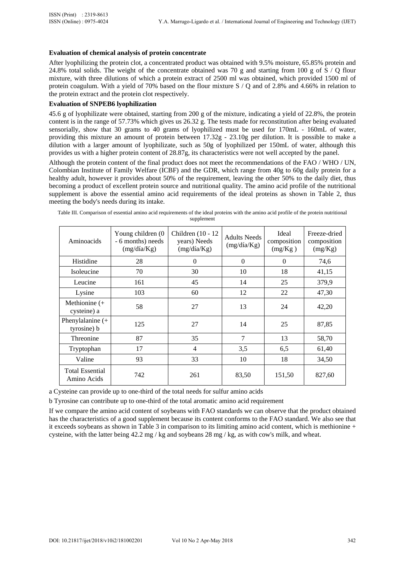### **Evaluation of chemical analysis of protein concentrate**

After lyophilizing the protein clot, a concentrated product was obtained with 9.5% moisture, 65.85% protein and 24.8% total solids. The weight of the concentrate obtained was 70 g and starting from 100 g of  $S / Q$  flour mixture, with three dilutions of which a protein extract of 2500 ml was obtained, which provided 1500 ml of protein coagulum. With a yield of 70% based on the flour mixture S / Q and of 2.8% and 4.66% in relation to the protein extract and the protein clot respectively.

# **Evaluation of SNPEB6 lyophilization**

45.6 g of lyophilizate were obtained, starting from 200 g of the mixture, indicating a yield of 22.8%, the protein content is in the range of 57.73% which gives us 26.32 g. The tests made for reconstitution after being evaluated sensorially, show that 30 grams to 40 grams of lyophilized must be used for 170mL - 160mL of water, providing this mixture an amount of protein between  $17.32g - 23.10g$  per dilution. It is possible to make a dilution with a larger amount of lyophilizate, such as 50g of lyophilized per 150mL of water, although this provides us with a higher protein content of 28.87g, its characteristics were not well accepted by the panel.

Although the protein content of the final product does not meet the recommendations of the FAO / WHO / UN, Colombian Institute of Family Welfare (ICBF) and the GDR, which range from 40g to 60g daily protein for a healthy adult, however it provides about 50% of the requirement, leaving the other 50% to the daily diet, thus becoming a product of excellent protein source and nutritional quality. The amino acid profile of the nutritional supplement is above the essential amino acid requirements of the ideal proteins as shown in Table 2, thus meeting the body's needs during its intake.

| Table III. Comparison of essential amino acid requirements of the ideal proteins with the amino acid profile of the protein nutritional |
|-----------------------------------------------------------------------------------------------------------------------------------------|
| supplement                                                                                                                              |

| Aminoacids                            | Young children (0<br>- 6 months) needs<br>(mg/dfa/Kg) | Children $(10 - 12)$<br>years) Needs<br>$(mg/di\mathcal{A}Kg)$ | <b>Adults Needs</b><br>(mg/dfa/Kg) | Ideal<br>composition<br>(mg/Kg) | Freeze-dried<br>composition<br>(mg/Kg) |
|---------------------------------------|-------------------------------------------------------|----------------------------------------------------------------|------------------------------------|---------------------------------|----------------------------------------|
| Histidine                             | 28                                                    | $\Omega$                                                       | $\Omega$                           | $\Omega$                        | 74,6                                   |
| Isoleucine                            | 70                                                    | 30                                                             | 10                                 | 18                              | 41,15                                  |
| Leucine                               | 161                                                   | 45                                                             | 14                                 | 25                              | 379,9                                  |
| Lysine                                | 103                                                   | 60                                                             | 12                                 | 22                              | 47,30                                  |
| Methionine $(+$<br>cysteine) a        | 58                                                    | 27                                                             | 13                                 | 24                              | 42,20                                  |
| Phenylalanine $(+$<br>tyrosine) b     | 125                                                   | 27                                                             | 14                                 | 25                              | 87,85                                  |
| Threonine                             | 87                                                    | 35                                                             | $\overline{7}$                     | 13                              | 58,70                                  |
| Tryptophan                            | 17                                                    | $\overline{4}$                                                 | 3,5                                | 6,5                             | 61,40                                  |
| Valine                                | 93                                                    | 33                                                             | 10                                 | 18                              | 34,50                                  |
| <b>Total Essential</b><br>Amino Acids | 742                                                   | 261                                                            | 83,50                              | 151,50                          | 827,60                                 |

a Cysteine can provide up to one-third of the total needs for sulfur amino acids

b Tyrosine can contribute up to one-third of the total aromatic amino acid requirement

If we compare the amino acid content of soybeans with FAO standards we can observe that the product obtained has the characteristics of a good supplement because its content conforms to the FAO standard. We also see that it exceeds soybeans as shown in Table 3 in comparison to its limiting amino acid content, which is methionine + cysteine, with the latter being 42.2 mg / kg and soybeans 28 mg / kg, as with cow's milk, and wheat.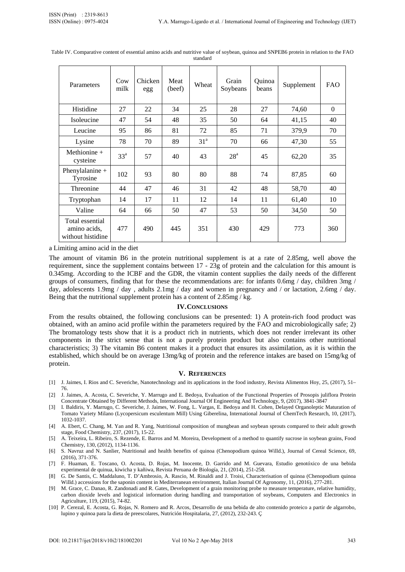| Parameters                                           | Cow<br>milk     | Chicken<br>egg | Meat<br>(beef) | Wheat           | Grain<br>Soybeans | Ouinoa<br>beans | Supplement | <b>FAO</b> |
|------------------------------------------------------|-----------------|----------------|----------------|-----------------|-------------------|-----------------|------------|------------|
| Histidine                                            | 27              | 22             | 34             | 25              | 28                | 27              | 74,60      | $\Omega$   |
| Isoleucine                                           | 47              | 54             | 48             | 35              | 50                | 64              | 41,15      | 40         |
| Leucine                                              | 95              | 86             | 81             | 72              | 85                | 71              | 379,9      | 70         |
| Lysine                                               | 78              | 70             | 89             | 31 <sup>a</sup> | 70                | 66              | 47,30      | 55         |
| Methionine $+$<br>cysteine                           | 33 <sup>a</sup> | 57             | 40             | 43              | 28 <sup>a</sup>   | 45              | 62,20      | 35         |
| Phenylalanine $+$<br>Tyrosine                        | 102             | 93             | 80             | 80              | 88                | 74              | 87,85      | 60         |
| Threonine                                            | 44              | 47             | 46             | 31              | 42                | 48              | 58,70      | 40         |
| Tryptophan                                           | 14              | 17             | 11             | 12              | 14                | 11              | 61,40      | 10         |
| Valine                                               | 64              | 66             | 50             | 47              | 53                | 50              | 34,50      | 50         |
| Total essential<br>amino acids,<br>without histidine | 477             | 490            | 445            | 351             | 430               | 429             | 773        | 360        |

Table IV. Comparative content of essential amino acids and nutritive value of soybean, quinoa and SNPEB6 protein in relation to the FAO standard

a Limiting amino acid in the diet

The amount of vitamin B6 in the protein nutritional supplement is at a rate of 2.85mg, well above the requirement, since the supplement contains between 17 - 23g of protein and the calculation for this amount is 0.345mg. According to the ICBF and the GDR, the vitamin content supplies the daily needs of the different groups of consumers, finding that for these the recommendations are: for infants 0.6mg / day, children 3mg / day, adolescents 1.9mg / day, adults 2.1mg / day and women in pregnancy and / or lactation, 2.6mg / day. Being that the nutritional supplement protein has a content of 2.85mg / kg.

#### **IV.CONCLUSIONS**

From the results obtained, the following conclusions can be presented: 1) A protein-rich food product was obtained, with an amino acid profile within the parameters required by the FAO and microbiologically safe; 2) The bromatology tests show that it is a product rich in nutrients, which does not render irrelevant its other components in the strict sense that is not a purely protein product but also contains other nutritional characteristics; 3) The vitamin B6 content makes it a product that ensures its assimilation, as it is within the established, which should be on average 13mg/kg of protein and the reference intakes are based on 15mg/kg of protein.

#### **V. REFERENCES**

- [1] J. Jaimes, I. Rios and C. Severiche, Nanotechnology and its applications in the food industry, Revista Alimentos Hoy, 25, (2017), 51– 76.
- [2] J. Jaimes, A. Acosta, C. Severiche, Y. Marrugo and E. Bedoya, Evaluation of the Functional Properties of Prosopis juliflora Protein Concentrate Obtained by Different Methods, International Journal Of Engineering And Technology, 9, (2017), 3841-3847
- [3] I. Baldiris, Y. Marrugo, C. Severiche, J. Jaimes, W. Fong, L. Vargas, E. Bedoya and H. Cohen, Delayed Organoleptic Maturation of Tomato Variety Milano (Lycopersicum esculentum Mill) Using Giberelina, International Journal of ChemTech Research, 10, (2017), 1032-1037.
- [4] A. Ebert, C. Chang, M. Yan and R. Yang, Nutritional composition of mungbean and soybean sprouts compared to their adult growth stage, Food Chemistry, 237, (2017), 15-22.
- [5] A. Teixeira, L. Ribeiro, S. Rezende, E. Barros and M. Moreira, Development of a method to quantify sucrose in soybean grains, Food Chemistry, 130, (2012), 1134-1136.
- [6] S. Navruz and N. Sanlier, Nutritional and health benefits of quinoa (Chenopodium quinoa Willd.), Journal of Cereal Science, 69, (2016), 371-376.
- [7] F. Huaman, E. Toscano, O. Acosta, D. Rojas, M. Inocente, D. Garrido and M. Guevara, Estudio genotóxico de una bebida experimental de quinua, kiwicha y kañiwa, Revista Peruana de Biología, 21, (2014), 251-258.
- [8] G. De Santis, C. Maddaluno, T. D'Ambrosio, A. Rascio, M. Rinaldi and J. Troisi, Characterisation of quinoa (Chenopodium quinoa Willd.) accessions for the saponin content in Mediterranean environment, Italian Journal Of Agronomy, 11, (2016), 277-281.
- [9] M. Grace, C. Danao, R. Zandonadi and R. Gates, Development of a grain monitoring probe to measure temperature, relative humidity, carbon dioxide levels and logistical information during handling and transportation of soybeans, Computers and Electronics in Agriculture, 119, (2015), 74-82.
- [10] P. Cerezal, E. Acosta, G. Rojas, N. Romero and R. Arcos, Desarrollo de una bebida de alto contenido proteico a partir de algarrobo, lupino y quinoa para la dieta de preescolares, Nutrición Hospitalaria, 27, (2012), 232-243. Ç